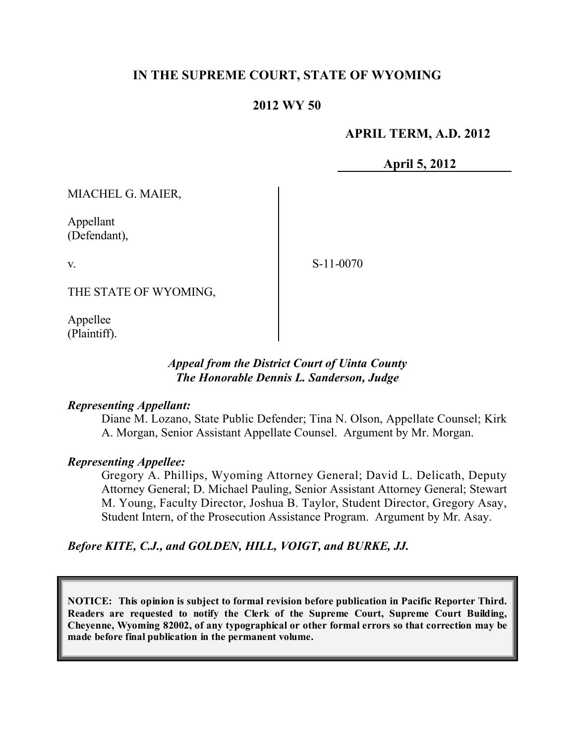## **IN THE SUPREME COURT, STATE OF WYOMING**

### **2012 WY 50**

### **APRIL TERM, A.D. 2012**

**April 5, 2012**

MIACHEL G. MAIER,

Appellant (Defendant),

v.

S-11-0070

THE STATE OF WYOMING,

Appellee (Plaintiff).

### *Appeal from the District Court of Uinta County The Honorable Dennis L. Sanderson, Judge*

#### *Representing Appellant:*

Diane M. Lozano, State Public Defender; Tina N. Olson, Appellate Counsel; Kirk A. Morgan, Senior Assistant Appellate Counsel. Argument by Mr. Morgan.

### *Representing Appellee:*

Gregory A. Phillips, Wyoming Attorney General; David L. Delicath, Deputy Attorney General; D. Michael Pauling, Senior Assistant Attorney General; Stewart M. Young, Faculty Director, Joshua B. Taylor, Student Director, Gregory Asay, Student Intern, of the Prosecution Assistance Program. Argument by Mr. Asay.

## *Before KITE, C.J., and GOLDEN, HILL, VOIGT, and BURKE, JJ.*

**NOTICE: This opinion is subject to formal revision before publication in Pacific Reporter Third. Readers are requested to notify the Clerk of the Supreme Court, Supreme Court Building, Cheyenne, Wyoming 82002, of any typographical or other formal errors so that correction may be made before final publication in the permanent volume.**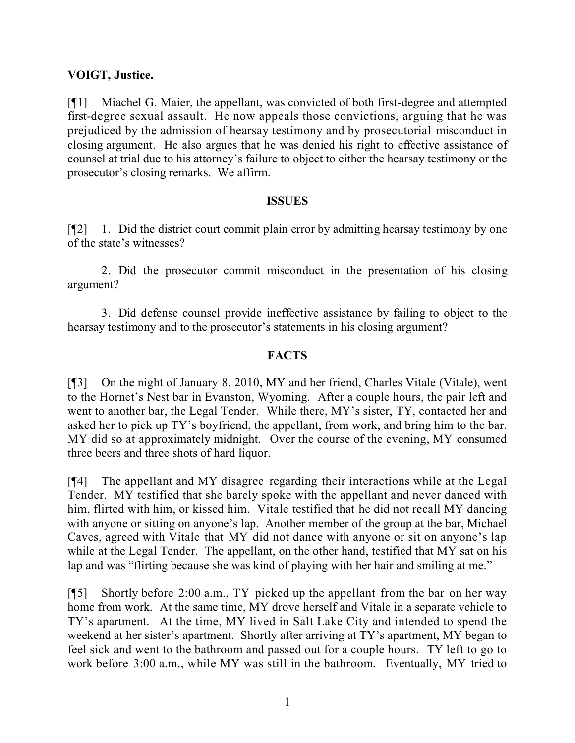### **VOIGT, Justice.**

[¶1] Miachel G. Maier, the appellant, was convicted of both first-degree and attempted first-degree sexual assault. He now appeals those convictions, arguing that he was prejudiced by the admission of hearsay testimony and by prosecutorial misconduct in closing argument. He also argues that he was denied his right to effective assistance of counsel at trial due to his attorney's failure to object to either the hearsay testimony or the prosecutor's closing remarks. We affirm.

#### **ISSUES**

[¶2] 1. Did the district court commit plain error by admitting hearsay testimony by one of the state's witnesses?

2. Did the prosecutor commit misconduct in the presentation of his closing argument?

3. Did defense counsel provide ineffective assistance by failing to object to the hearsay testimony and to the prosecutor's statements in his closing argument?

## **FACTS**

[¶3] On the night of January 8, 2010, MY and her friend, Charles Vitale (Vitale), went to the Hornet's Nest bar in Evanston, Wyoming. After a couple hours, the pair left and went to another bar, the Legal Tender. While there, MY's sister, TY, contacted her and asked her to pick up TY's boyfriend, the appellant, from work, and bring him to the bar. MY did so at approximately midnight. Over the course of the evening, MY consumed three beers and three shots of hard liquor.

[¶4] The appellant and MY disagree regarding their interactions while at the Legal Tender. MY testified that she barely spoke with the appellant and never danced with him, flirted with him, or kissed him. Vitale testified that he did not recall MY dancing with anyone or sitting on anyone's lap. Another member of the group at the bar, Michael Caves, agreed with Vitale that MY did not dance with anyone or sit on anyone's lap while at the Legal Tender. The appellant, on the other hand, testified that MY sat on his lap and was "flirting because she was kind of playing with her hair and smiling at me."

[¶5] Shortly before 2:00 a.m., TY picked up the appellant from the bar on her way home from work. At the same time, MY drove herself and Vitale in a separate vehicle to TY's apartment. At the time, MY lived in Salt Lake City and intended to spend the weekend at her sister's apartment. Shortly after arriving at TY's apartment, MY began to feel sick and went to the bathroom and passed out for a couple hours. TY left to go to work before 3:00 a.m., while MY was still in the bathroom. Eventually, MY tried to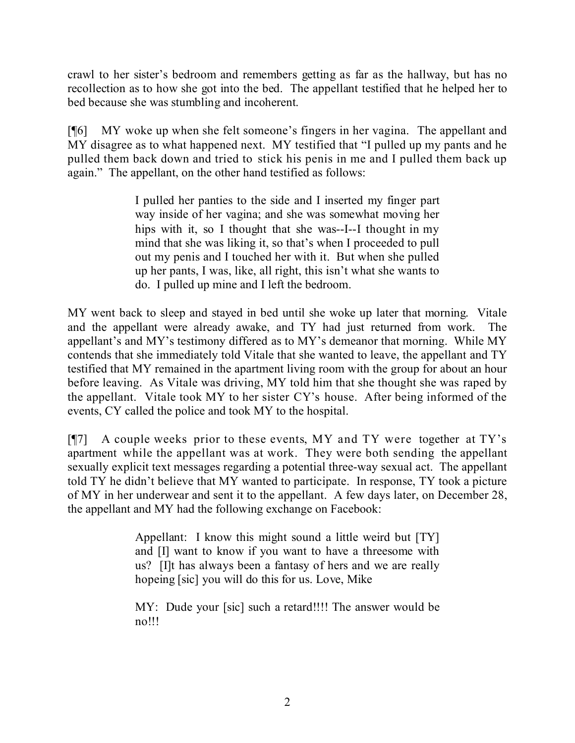crawl to her sister's bedroom and remembers getting as far as the hallway, but has no recollection as to how she got into the bed. The appellant testified that he helped her to bed because she was stumbling and incoherent.

[¶6] MY woke up when she felt someone's fingers in her vagina. The appellant and MY disagree as to what happened next. MY testified that "I pulled up my pants and he pulled them back down and tried to stick his penis in me and I pulled them back up again." The appellant, on the other hand testified as follows:

> I pulled her panties to the side and I inserted my finger part way inside of her vagina; and she was somewhat moving her hips with it, so I thought that she was--I--I thought in my mind that she was liking it, so that's when I proceeded to pull out my penis and I touched her with it. But when she pulled up her pants, I was, like, all right, this isn't what she wants to do. I pulled up mine and I left the bedroom.

MY went back to sleep and stayed in bed until she woke up later that morning. Vitale and the appellant were already awake, and TY had just returned from work. The appellant's and MY's testimony differed as to MY's demeanor that morning. While MY contends that she immediately told Vitale that she wanted to leave, the appellant and TY testified that MY remained in the apartment living room with the group for about an hour before leaving. As Vitale was driving, MY told him that she thought she was raped by the appellant. Vitale took MY to her sister CY's house. After being informed of the events, CY called the police and took MY to the hospital.

[¶7] A couple weeks prior to these events, MY and TY were together at TY's apartment while the appellant was at work. They were both sending the appellant sexually explicit text messages regarding a potential three-way sexual act. The appellant told TY he didn't believe that MY wanted to participate. In response, TY took a picture of MY in her underwear and sent it to the appellant. A few days later, on December 28, the appellant and MY had the following exchange on Facebook:

> Appellant: I know this might sound a little weird but [TY] and [I] want to know if you want to have a threesome with us? [I]t has always been a fantasy of hers and we are really hopeing [sic] you will do this for us. Love, Mike

> MY: Dude your [sic] such a retard!!!! The answer would be no!!!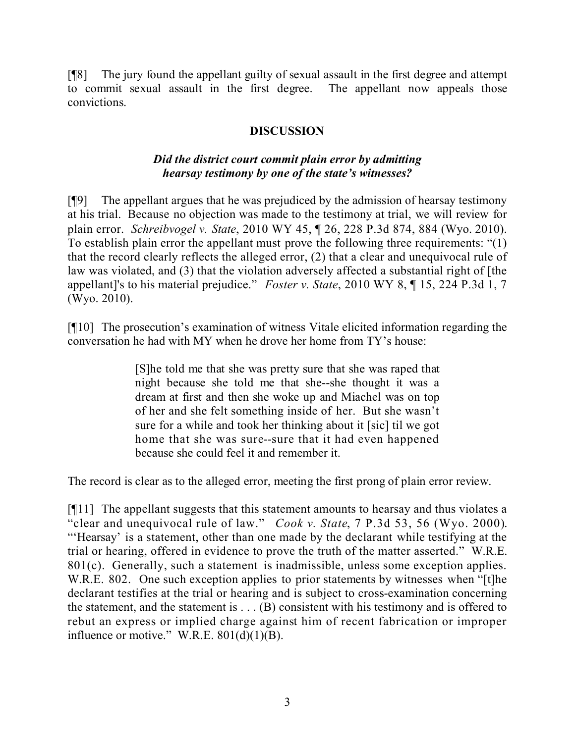[¶8] The jury found the appellant guilty of sexual assault in the first degree and attempt to commit sexual assault in the first degree. The appellant now appeals those convictions.

## **DISCUSSION**

## *Did the district court commit plain error by admitting hearsay testimony by one of the state's witnesses?*

[¶9] The appellant argues that he was prejudiced by the admission of hearsay testimony at his trial. Because no objection was made to the testimony at trial, we will review for plain error. *Schreibvogel v. State*, 2010 WY 45, ¶ 26, 228 P.3d 874, 884 (Wyo. 2010). To establish plain error the appellant must prove the following three requirements: "(1) that the record clearly reflects the alleged error, (2) that a clear and unequivocal rule of law was violated, and (3) that the violation adversely affected a substantial right of [the appellant]'s to his material prejudice." *Foster v. State*, 2010 WY 8, ¶ 15, 224 P.3d 1, 7 (Wyo. 2010).

[¶10] The prosecution's examination of witness Vitale elicited information regarding the conversation he had with MY when he drove her home from TY's house:

> [S]he told me that she was pretty sure that she was raped that night because she told me that she--she thought it was a dream at first and then she woke up and Miachel was on top of her and she felt something inside of her. But she wasn't sure for a while and took her thinking about it [sic] til we got home that she was sure--sure that it had even happened because she could feel it and remember it.

The record is clear as to the alleged error, meeting the first prong of plain error review.

[¶11] The appellant suggests that this statement amounts to hearsay and thus violates a "clear and unequivocal rule of law." *Cook v. State*, 7 P.3d 53, 56 (Wyo. 2000). "'Hearsay' is a statement, other than one made by the declarant while testifying at the trial or hearing, offered in evidence to prove the truth of the matter asserted." W.R.E. 801(c). Generally, such a statement is inadmissible, unless some exception applies. W.R.E. 802. One such exception applies to prior statements by witnesses when "[t]he declarant testifies at the trial or hearing and is subject to cross-examination concerning the statement, and the statement is  $\dots$  (B) consistent with his testimony and is offered to rebut an express or implied charge against him of recent fabrication or improper influence or motive." W.R.E.  $801(d)(1)(B)$ .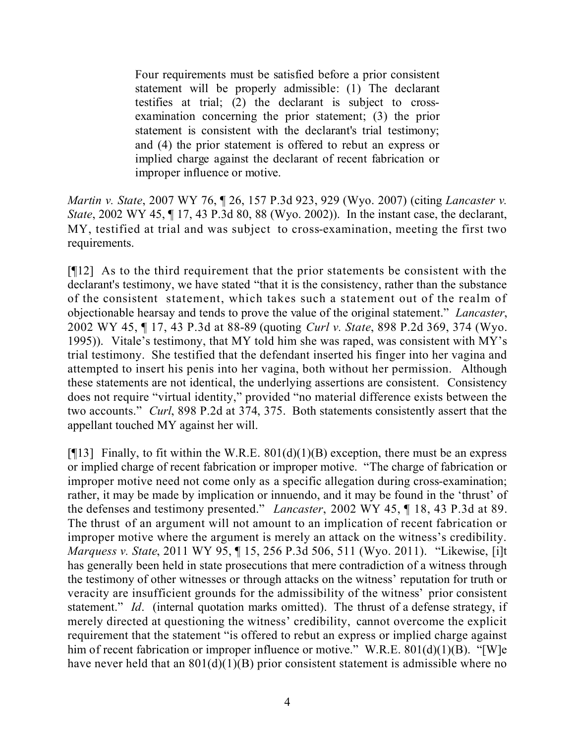Four requirements must be satisfied before a prior consistent statement will be properly admissible: (1) The declarant testifies at trial; (2) the declarant is subject to crossexamination concerning the prior statement; (3) the prior statement is consistent with the declarant's trial testimony; and (4) the prior statement is offered to rebut an express or implied charge against the declarant of recent fabrication or improper influence or motive.

*Martin v. State*, 2007 WY 76, ¶ 26, 157 P.3d 923, 929 (Wyo. 2007) (citing *Lancaster v. State*, 2002 WY 45, ¶ 17, 43 P.3d 80, 88 (Wyo. 2002)). In the instant case, the declarant, MY, testified at trial and was subject to cross-examination, meeting the first two requirements.

[¶12] As to the third requirement that the prior statements be consistent with the declarant's testimony, we have stated "that it is the consistency, rather than the substance of the consistent statement, which takes such a statement out of the realm of objectionable hearsay and tends to prove the value of the original statement." *Lancaster*, 2002 WY 45, ¶ 17, 43 P.3d at 88-89 (quoting *Curl v. State*, 898 P.2d 369, 374 (Wyo. 1995)). Vitale's testimony, that MY told him she was raped, was consistent with MY's trial testimony. She testified that the defendant inserted his finger into her vagina and attempted to insert his penis into her vagina, both without her permission. Although these statements are not identical, the underlying assertions are consistent. Consistency does not require "virtual identity," provided "no material difference exists between the two accounts." *Curl*, 898 P.2d at 374, 375. Both statements consistently assert that the appellant touched MY against her will.

[ $[13]$  Finally, to fit within the W.R.E. 801(d)(1)(B) exception, there must be an express or implied charge of recent fabrication or improper motive. "The charge of fabrication or improper motive need not come only as a specific allegation during cross-examination; rather, it may be made by implication or innuendo, and it may be found in the 'thrust' of the defenses and testimony presented." *Lancaster*, 2002 WY 45, ¶ 18, 43 P.3d at 89. The thrust of an argument will not amount to an implication of recent fabrication or improper motive where the argument is merely an attack on the witness's credibility. *Marquess v. State*, 2011 WY 95, ¶ 15, 256 P.3d 506, 511 (Wyo. 2011). "Likewise, [i]t has generally been held in state prosecutions that mere contradiction of a witness through the testimony of other witnesses or through attacks on the witness' reputation for truth or veracity are insufficient grounds for the admissibility of the witness' prior consistent statement." *Id*. (internal quotation marks omitted). The thrust of a defense strategy, if merely directed at questioning the witness' credibility, cannot overcome the explicit requirement that the statement "is offered to rebut an express or implied charge against him of recent fabrication or improper influence or motive." W.R.E. 801(d)(1)(B). "[W]e have never held that an  $801(d)(1)(B)$  prior consistent statement is admissible where no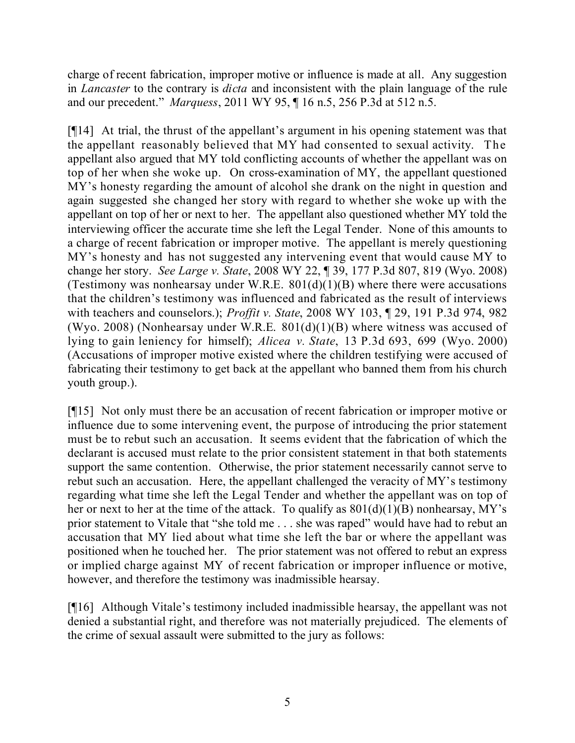charge of recent fabrication, improper motive or influence is made at all. Any suggestion in *Lancaster* to the contrary is *dicta* and inconsistent with the plain language of the rule and our precedent." *Marquess*, 2011 WY 95, ¶ 16 n.5, 256 P.3d at 512 n.5.

[¶14] At trial, the thrust of the appellant's argument in his opening statement was that the appellant reasonably believed that MY had consented to sexual activity. The appellant also argued that MY told conflicting accounts of whether the appellant was on top of her when she woke up. On cross-examination of MY, the appellant questioned MY's honesty regarding the amount of alcohol she drank on the night in question and again suggested she changed her story with regard to whether she woke up with the appellant on top of her or next to her. The appellant also questioned whether MY told the interviewing officer the accurate time she left the Legal Tender. None of this amounts to a charge of recent fabrication or improper motive. The appellant is merely questioning MY's honesty and has not suggested any intervening event that would cause MY to change her story. *See Large v. State*, 2008 WY 22, ¶ 39, 177 P.3d 807, 819 (Wyo. 2008) (Testimony was nonhearsay under W.R.E.  $801(d)(1)(B)$  where there were accusations that the children's testimony was influenced and fabricated as the result of interviews with teachers and counselors.); *Proffit v. State*, 2008 WY 103, ¶ 29, 191 P.3d 974, 982 (Wyo. 2008) (Nonhearsay under W.R.E.  $801(d)(1)(B)$  where witness was accused of lying to gain leniency for himself); *Alicea v. State*, 13 P.3d 693, 699 (Wyo. 2000) (Accusations of improper motive existed where the children testifying were accused of fabricating their testimony to get back at the appellant who banned them from his church youth group.).

[¶15] Not only must there be an accusation of recent fabrication or improper motive or influence due to some intervening event, the purpose of introducing the prior statement must be to rebut such an accusation. It seems evident that the fabrication of which the declarant is accused must relate to the prior consistent statement in that both statements support the same contention. Otherwise, the prior statement necessarily cannot serve to rebut such an accusation. Here, the appellant challenged the veracity of MY's testimony regarding what time she left the Legal Tender and whether the appellant was on top of her or next to her at the time of the attack. To qualify as  $801(d)(1)(B)$  nonhearsay, MY's prior statement to Vitale that "she told me . . . she was raped" would have had to rebut an accusation that MY lied about what time she left the bar or where the appellant was positioned when he touched her. The prior statement was not offered to rebut an express or implied charge against MY of recent fabrication or improper influence or motive, however, and therefore the testimony was inadmissible hearsay.

[¶16] Although Vitale's testimony included inadmissible hearsay, the appellant was not denied a substantial right, and therefore was not materially prejudiced. The elements of the crime of sexual assault were submitted to the jury as follows: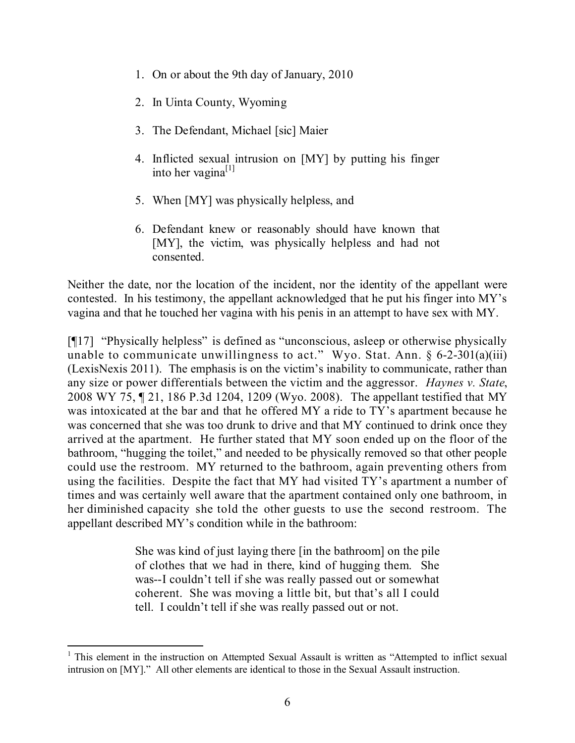- 1. On or about the 9th day of January, 2010
- 2. In Uinta County, Wyoming
- 3. The Defendant, Michael [sic] Maier
- 4. Inflicted sexual intrusion on [MY] by putting his finger into her vagina<sup>[1]</sup>
- 5. When [MY] was physically helpless, and
- 6. Defendant knew or reasonably should have known that [MY], the victim, was physically helpless and had not consented.

Neither the date, nor the location of the incident, nor the identity of the appellant were contested. In his testimony, the appellant acknowledged that he put his finger into MY's vagina and that he touched her vagina with his penis in an attempt to have sex with MY.

[¶17] "Physically helpless" is defined as "unconscious, asleep or otherwise physically unable to communicate unwillingness to act." Wyo. Stat. Ann. § 6-2-301(a)(iii) (LexisNexis 2011). The emphasis is on the victim's inability to communicate, rather than any size or power differentials between the victim and the aggressor. *Haynes v. State*, 2008 WY 75, ¶ 21, 186 P.3d 1204, 1209 (Wyo. 2008). The appellant testified that MY was intoxicated at the bar and that he offered MY a ride to TY's apartment because he was concerned that she was too drunk to drive and that MY continued to drink once they arrived at the apartment. He further stated that MY soon ended up on the floor of the bathroom, "hugging the toilet," and needed to be physically removed so that other people could use the restroom. MY returned to the bathroom, again preventing others from using the facilities. Despite the fact that MY had visited TY's apartment a number of times and was certainly well aware that the apartment contained only one bathroom, in her diminished capacity she told the other guests to use the second restroom. The appellant described MY's condition while in the bathroom:

> She was kind of just laying there [in the bathroom] on the pile of clothes that we had in there, kind of hugging them. She was--I couldn't tell if she was really passed out or somewhat coherent. She was moving a little bit, but that's all I could tell. I couldn't tell if she was really passed out or not.

l <sup>1</sup> This element in the instruction on Attempted Sexual Assault is written as "Attempted to inflict sexual intrusion on [MY]." All other elements are identical to those in the Sexual Assault instruction.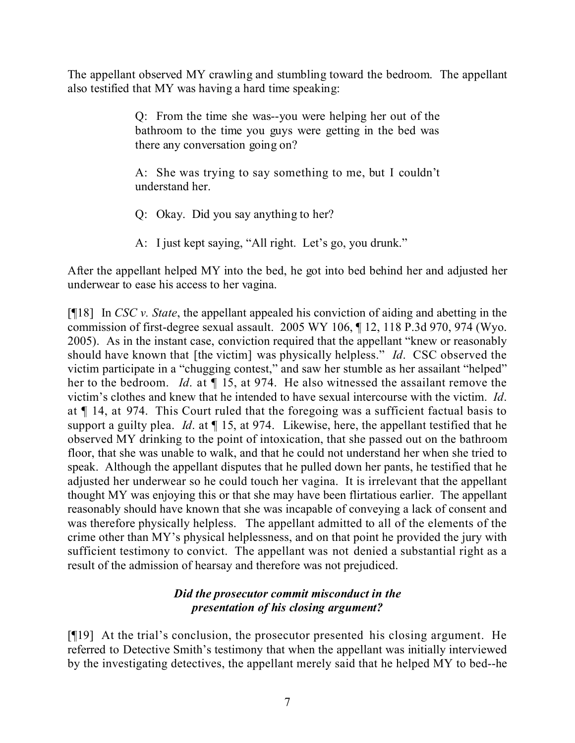The appellant observed MY crawling and stumbling toward the bedroom. The appellant also testified that MY was having a hard time speaking:

> Q: From the time she was--you were helping her out of the bathroom to the time you guys were getting in the bed was there any conversation going on?

> A: She was trying to say something to me, but I couldn't understand her.

- Q: Okay. Did you say anything to her?
- A: I just kept saying, "All right. Let's go, you drunk."

After the appellant helped MY into the bed, he got into bed behind her and adjusted her underwear to ease his access to her vagina.

[¶18] In *CSC v. State*, the appellant appealed his conviction of aiding and abetting in the commission of first-degree sexual assault. 2005 WY 106, ¶ 12, 118 P.3d 970, 974 (Wyo. 2005). As in the instant case, conviction required that the appellant "knew or reasonably should have known that [the victim] was physically helpless." *Id*. CSC observed the victim participate in a "chugging contest," and saw her stumble as her assailant "helped" her to the bedroom. *Id*. at ¶ 15, at 974. He also witnessed the assailant remove the victim's clothes and knew that he intended to have sexual intercourse with the victim. *Id*. at ¶ 14, at 974. This Court ruled that the foregoing was a sufficient factual basis to support a guilty plea. *Id*. at ¶ 15, at 974. Likewise, here, the appellant testified that he observed MY drinking to the point of intoxication, that she passed out on the bathroom floor, that she was unable to walk, and that he could not understand her when she tried to speak. Although the appellant disputes that he pulled down her pants, he testified that he adjusted her underwear so he could touch her vagina. It is irrelevant that the appellant thought MY was enjoying this or that she may have been flirtatious earlier. The appellant reasonably should have known that she was incapable of conveying a lack of consent and was therefore physically helpless. The appellant admitted to all of the elements of the crime other than MY's physical helplessness, and on that point he provided the jury with sufficient testimony to convict. The appellant was not denied a substantial right as a result of the admission of hearsay and therefore was not prejudiced.

## *Did the prosecutor commit misconduct in the presentation of his closing argument?*

[¶19] At the trial's conclusion, the prosecutor presented his closing argument. He referred to Detective Smith's testimony that when the appellant was initially interviewed by the investigating detectives, the appellant merely said that he helped MY to bed--he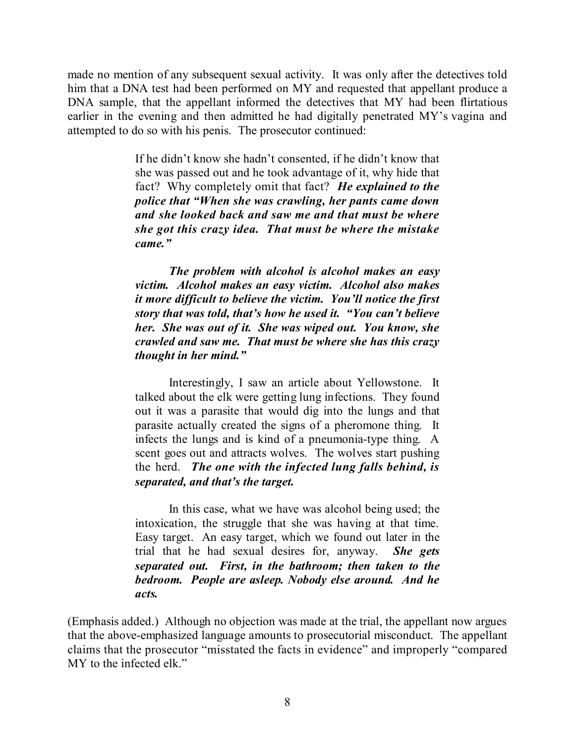made no mention of any subsequent sexual activity. It was only after the detectives told him that a DNA test had been performed on MY and requested that appellant produce a DNA sample, that the appellant informed the detectives that MY had been flirtatious earlier in the evening and then admitted he had digitally penetrated MY's vagina and attempted to do so with his penis. The prosecutor continued:

> If he didn't know she hadn't consented, if he didn't know that she was passed out and he took advantage of it, why hide that fact? Why completely omit that fact? *He explained to the police that "When she was crawling, her pants came down and she looked back and saw me and that must be where she got this crazy idea. That must be where the mistake came."*

> *The problem with alcohol is alcohol makes an easy victim. Alcohol makes an easy victim. Alcohol also makes it more difficult to believe the victim. You'll notice the first story that was told, that's how he used it. "You can't believe her. She was out of it. She was wiped out. You know, she crawled and saw me. That must be where she has this crazy thought in her mind."*

> Interestingly, I saw an article about Yellowstone. It talked about the elk were getting lung infections. They found out it was a parasite that would dig into the lungs and that parasite actually created the signs of a pheromone thing. It infects the lungs and is kind of a pneumonia-type thing. A scent goes out and attracts wolves. The wolves start pushing the herd. *The one with the infected lung falls behind, is separated, and that's the target.*

> In this case, what we have was alcohol being used; the intoxication, the struggle that she was having at that time. Easy target. An easy target, which we found out later in the trial that he had sexual desires for, anyway. *She gets separated out. First, in the bathroom; then taken to the bedroom. People are asleep. Nobody else around. And he acts.*

(Emphasis added.) Although no objection was made at the trial, the appellant now argues that the above-emphasized language amounts to prosecutorial misconduct. The appellant claims that the prosecutor "misstated the facts in evidence" and improperly "compared MY to the infected elk."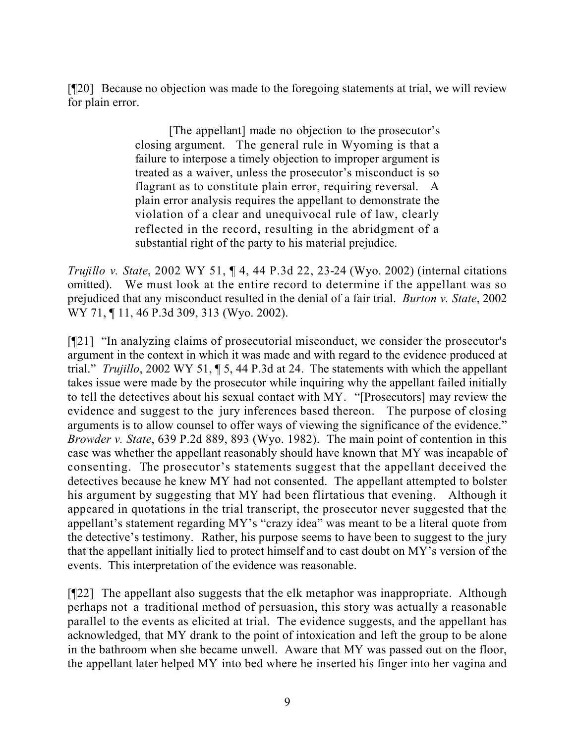[¶20] Because no objection was made to the foregoing statements at trial, we will review for plain error.

> [The appellant] made no objection to the prosecutor's closing argument. The general rule in Wyoming is that a failure to interpose a timely objection to improper argument is treated as a waiver, unless the prosecutor's misconduct is so flagrant as to constitute plain error, requiring reversal. A plain error analysis requires the appellant to demonstrate the violation of a clear and unequivocal rule of law, clearly reflected in the record, resulting in the abridgment of a substantial right of the party to his material prejudice.

*Trujillo v. State*, 2002 WY 51, ¶ 4, 44 P.3d 22, 23-24 (Wyo. 2002) (internal citations omitted). We must look at the entire record to determine if the appellant was so prejudiced that any misconduct resulted in the denial of a fair trial. *Burton v. State*, 2002 WY 71, ¶ 11, 46 P.3d 309, 313 (Wyo. 2002).

[¶21] "In analyzing claims of prosecutorial misconduct, we consider the prosecutor's argument in the context in which it was made and with regard to the evidence produced at trial." *Trujillo*, 2002 WY 51, ¶ 5, 44 P.3d at 24. The statements with which the appellant takes issue were made by the prosecutor while inquiring why the appellant failed initially to tell the detectives about his sexual contact with MY. "[Prosecutors] may review the evidence and suggest to the jury inferences based thereon. The purpose of closing arguments is to allow counsel to offer ways of viewing the significance of the evidence." *Browder v. State*, 639 P.2d 889, 893 (Wyo. 1982). The main point of contention in this case was whether the appellant reasonably should have known that MY was incapable of consenting. The prosecutor's statements suggest that the appellant deceived the detectives because he knew MY had not consented. The appellant attempted to bolster his argument by suggesting that MY had been flirtatious that evening. Although it appeared in quotations in the trial transcript, the prosecutor never suggested that the appellant's statement regarding MY's "crazy idea" was meant to be a literal quote from the detective's testimony. Rather, his purpose seems to have been to suggest to the jury that the appellant initially lied to protect himself and to cast doubt on MY's version of the events. This interpretation of the evidence was reasonable.

[¶22] The appellant also suggests that the elk metaphor was inappropriate. Although perhaps not a traditional method of persuasion, this story was actually a reasonable parallel to the events as elicited at trial. The evidence suggests, and the appellant has acknowledged, that MY drank to the point of intoxication and left the group to be alone in the bathroom when she became unwell. Aware that MY was passed out on the floor, the appellant later helped MY into bed where he inserted his finger into her vagina and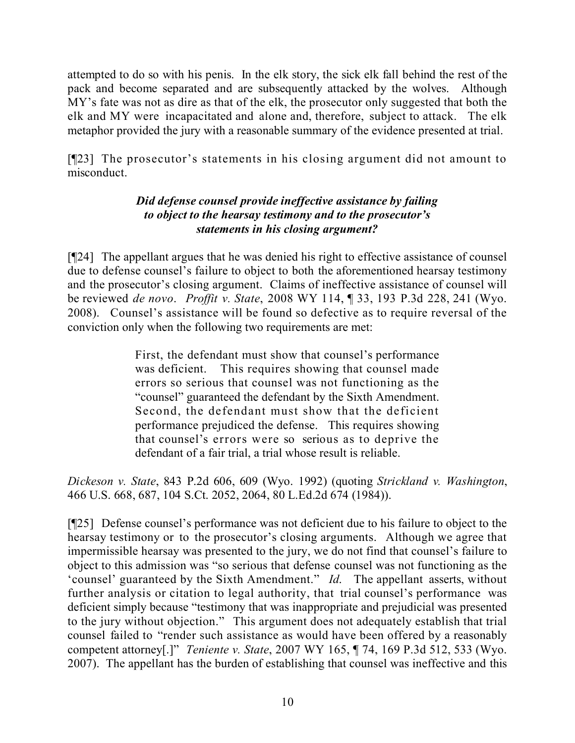attempted to do so with his penis. In the elk story, the sick elk fall behind the rest of the pack and become separated and are subsequently attacked by the wolves. Although MY's fate was not as dire as that of the elk, the prosecutor only suggested that both the elk and MY were incapacitated and alone and, therefore, subject to attack. The elk metaphor provided the jury with a reasonable summary of the evidence presented at trial.

[¶23] The prosecutor's statements in his closing argument did not amount to misconduct.

# *Did defense counsel provide ineffective assistance by failing to object to the hearsay testimony and to the prosecutor's statements in his closing argument?*

[¶24] The appellant argues that he was denied his right to effective assistance of counsel due to defense counsel's failure to object to both the aforementioned hearsay testimony and the prosecutor's closing argument. Claims of ineffective assistance of counsel will be reviewed *de novo*. *Proffit v. State*, 2008 WY 114, ¶ 33, 193 P.3d 228, 241 (Wyo. 2008). Counsel's assistance will be found so defective as to require reversal of the conviction only when the following two requirements are met:

> First, the defendant must show that counsel's performance was deficient. This requires showing that counsel made errors so serious that counsel was not functioning as the "counsel" guaranteed the defendant by the Sixth Amendment. Second, the defendant must show that the deficient performance prejudiced the defense. This requires showing that counsel's errors were so serious as to deprive the defendant of a fair trial, a trial whose result is reliable.

*Dickeson v. State*, 843 P.2d 606, 609 (Wyo. 1992) (quoting *Strickland v. Washington*, 466 U.S. 668, 687, 104 S.Ct. 2052, 2064, 80 L.Ed.2d 674 (1984)).

[¶25] Defense counsel's performance was not deficient due to his failure to object to the hearsay testimony or to the prosecutor's closing arguments. Although we agree that impermissible hearsay was presented to the jury, we do not find that counsel's failure to object to this admission was "so serious that defense counsel was not functioning as the 'counsel' guaranteed by the Sixth Amendment." *Id*. The appellant asserts, without further analysis or citation to legal authority, that trial counsel's performance was deficient simply because "testimony that was inappropriate and prejudicial was presented to the jury without objection." This argument does not adequately establish that trial counsel failed to "render such assistance as would have been offered by a reasonably competent attorney[.]" *Teniente v. State*, 2007 WY 165, ¶ 74, 169 P.3d 512, 533 (Wyo. 2007). The appellant has the burden of establishing that counsel was ineffective and this